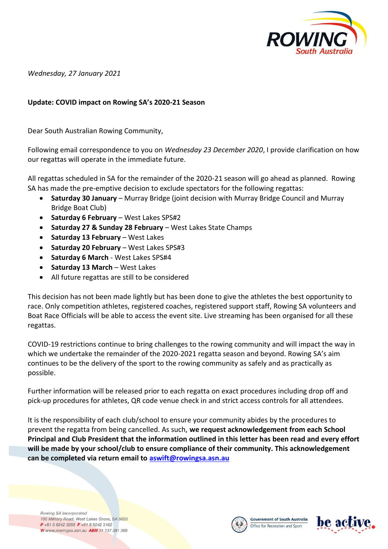

*Wednesday, 27 January 2021* 

## **Update: COVID impact on Rowing SA's 2020-21 Season**

Dear South Australian Rowing Community,

Following email correspondence to you on *Wednesday 23 December 2020*, I provide clarification on how our regattas will operate in the immediate future.

All regattas scheduled in SA for the remainder of the 2020-21 season will go ahead as planned. Rowing SA has made the pre-emptive decision to exclude spectators for the following regattas:

- **Saturday 30 January** Murray Bridge (joint decision with Murray Bridge Council and Murray Bridge Boat Club)
- **Saturday 6 February** West Lakes SPS#2
- **Saturday 27 & Sunday 28 February** West Lakes State Champs
- **Saturday 13 February** West Lakes
- **Saturday 20 February** West Lakes SPS#3
- **Saturday 6 March** West Lakes SPS#4
- **Saturday 13 March** West Lakes
- All future regattas are still to be considered

This decision has not been made lightly but has been done to give the athletes the best opportunity to race. Only competition athletes, registered coaches, registered support staff, Rowing SA volunteers and Boat Race Officials will be able to access the event site. Live streaming has been organised for all these regattas.

COVID-19 restrictions continue to bring challenges to the rowing community and will impact the way in which we undertake the remainder of the 2020-2021 regatta season and beyond. Rowing SA's aim continues to be the delivery of the sport to the rowing community as safely and as practically as possible.

Further information will be released prior to each regatta on exact procedures including drop off and pick-up procedures for athletes, QR code venue check in and strict access controls for all attendees.

It is the responsibility of each club/school to ensure your community abides by the procedures to prevent the regatta from being cancelled. As such, **we request acknowledgement from each School Principal and Club President that the information outlined in this letter has been read and every effort will be made by your school/club to ensure compliance of their community. This acknowledgement can be completed via return email to [aswift@rowingsa.asn.au](mailto:aswift@rowingsa.asn.au)**

Rowing SA Incorporated 100 Military Road, West Lakes Shore, SA 5020 P +61 8 8242 3288 F +61 8 8242 3162 W www.rowingsa.asn.au ABN 31 137 381 369